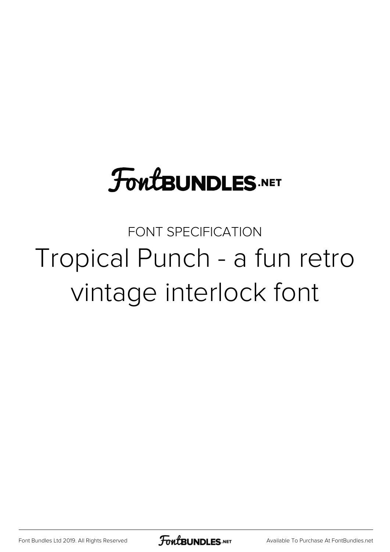### **FoutBUNDLES.NET**

FONT SPECIFICATION Tropical Punch - a fun retro vintage interlock font

[Font Bundles Ltd 2019. All Rights Reserved](https://fontbundles.net/) **FoutBUNDLES.NET** [Available To Purchase At FontBundles.net](https://fontbundles.net/)

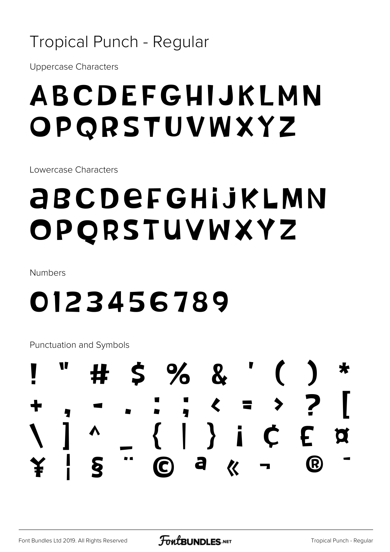#### **Tropical Punch - Regular**

**Uppercase Characters** 

#### ABCDEFGHIJKLMN OPQRSTUVWXYZ

Lowercase Characters

### **ABCDEFGHIJKLMN** OPQRSTUVWXYZ

Numbers

#### 0123456789

Punctuation and Symbols

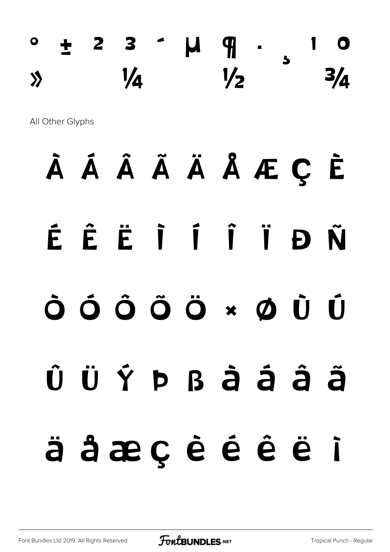$\circ$   $\pm$  2 3  $\circ$   $\mu$   $\eta$  .  $y_4$   $y_2$   $z_4$ All Other Glyphs À Á Â Ã Ä Å Æ Ç È É Ê Ë Ì Í Î Ï Ð Ñ Ò Ó Ô Õ Ö × Ø Ù Ú Û Ü Ý Þ ß à á â ã

# ä å æ ç è é ê ë ì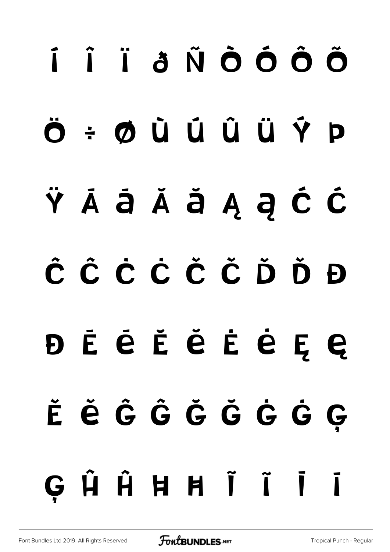# í î ï ð ñ ò ó ô õ ö ÷ ø ù ú û ü ý þ ÿ Ā ā Ă ă Ą ą Ć ć Ĉ ĉ Ċ ċ Č č Ď ď Đ đ Ē ē Ĕ ĕ Ė ė Ę ę Ě ě Ĝ ĝ Ğ ğ Ġ ġ Ģ G Ĥ Ĥ Ħ Ħ Ĩ Ĩ Ī Ī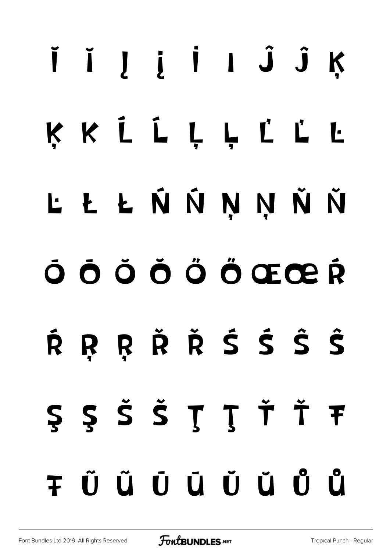# ĬĬĮįİIĴĴK KKLLLLLLL **L Ł Ł Ń Ń Ņ Ņ Ň Ň** O O O O Ö Ö ŒŒR RRŘŘŚŠŜŜ Ŕ S S Š Š Ţ Ţ Ť Ť Ŧ **TÜÜÜÜÜÜ**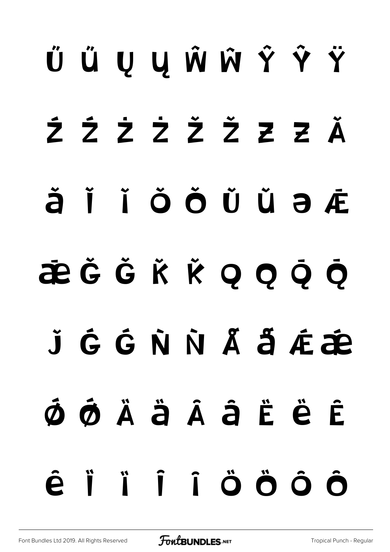# Ű ű Ų ų Ŵ ŵ Ŷ ŷ Ÿ Ź ź Ż ż Ž ž Ƶ ƶ Ǎ  $\check{a}$  ǐ ǐ Ŏ Ŏ Ŭ Ŭ Ə Æ ǣ Ǧ ǧ Ǩ ǩ Ǫ ǫ Ǭ ǭ ǰ Ǵ ǵ Ǹ ǹ Ǻ ǻ Ǽ ǽ  $\dot{\Phi}$  øÄäÄâËËË  $\hat{e}$  i i i ö ö ö ö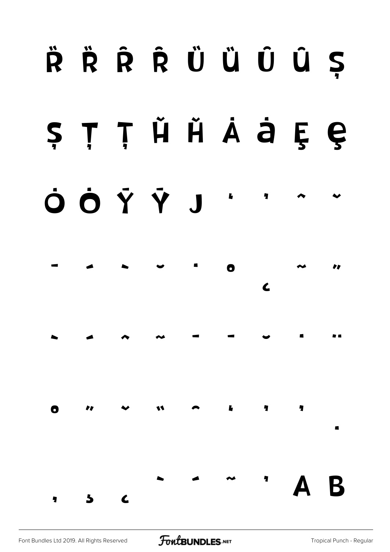# $\ddot{\mathsf{R}}$   $\ddot{\mathsf{R}}$   $\ddot{\mathsf{R}}$   $\ddot{\mathsf{R}}$   $\ddot{\mathsf{U}}$   $\ddot{\mathsf{U}}$   $\ddot{\mathsf{U}}$   $\ddot{\mathsf{Q}}$   $\ddot{\mathsf{S}}$ ș Ț ț Ȟ ȟ Ȧ ȧ Ȩ ȩ

## Ȯ ȯ Ȳ ȳ ȷ ʻ ' ˆ ˇ



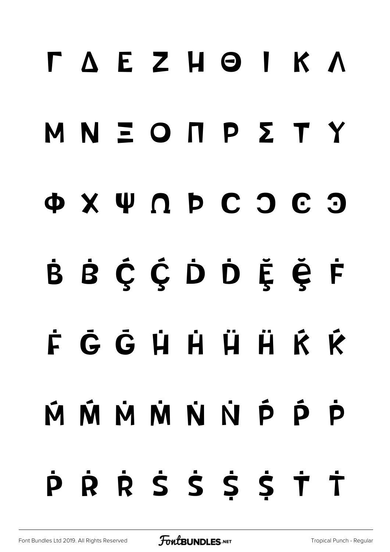# Γ Δ Ε Ζ Η Θ Ι Κ Λ Μ Ν Ξ Ο Π Ρ Σ Τ Υ Φ Χ Ψ Ω Ϸ Ϲ Ͻ Ͼ Ͽ B B Č Ć D D Ĕ Ë F ḟ Ḡ ḡ Ḣ ḣ Ḧ ḧ Ḱ ḱ  $\dot{M}$   $\dot{M}$   $\dot{M}$   $\dot{M}$   $\dot{M}$   $\dot{M}$   $\dot{M}$   $\dot{M}$   $\dot{M}$   $\dot{M}$   $\dot{M}$   $\dot{M}$   $\dot{M}$   $\dot{M}$   $\dot{M}$ ṗ Ṙ ṙ Ṡ ṡ Ṩ ṩ Ṫ ṫ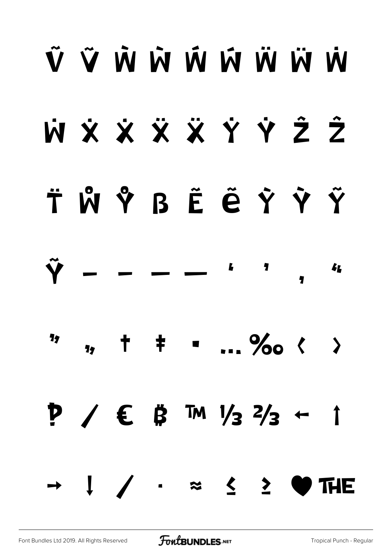# Ũ Ũ W W W W W W W X X X X Y Y Y Z Ż ẗ ẘ ẙ ẞ Ẽ ẽ Ỳ ỳ Ỹ Y – – – –  $\overline{\mathbf{z}}$ ' **14** 17 " † ‡ • … ‰ ‹ › ‽ ⁄ € ₿ ™ ⅓ ⅔ ← ↑ → ↓ ∕ ∙ ≈ ≤ ≥ ♥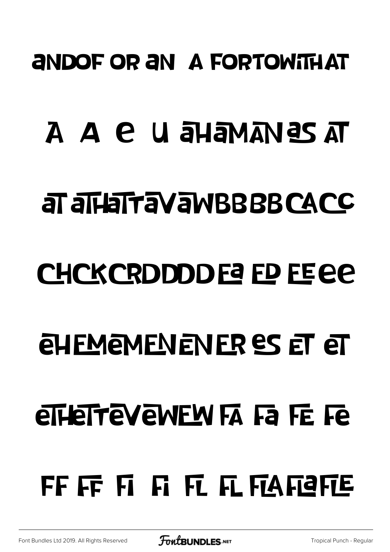#### **ANDOF OR AN A FORTOWITH AT**

#### A A e u ayamangsat

#### **at allafravawBBBBCACC**

#### CHCKCRDDDDE ED FEEC

### **ELIEMENENER ES ET ET**

### **eTHeTTEVEWEW FA Fa FE Fe**

### FF FF FI FI FI FI FTAFIETE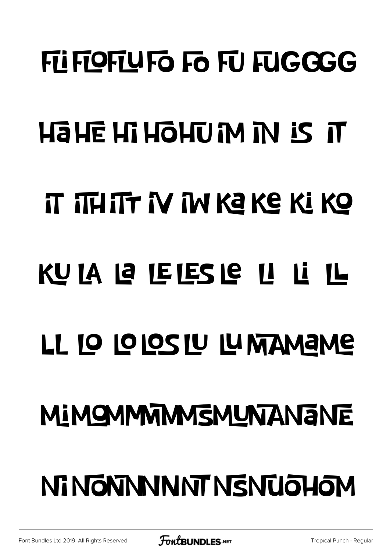# **FII FIOFIUFO FO FU FUGGGG HaHE HI HOHUM IN IS IT** IT ITHITT IV IN KE KE KI KO KU IA LA LETESTE LI LI IL LL 10 10 10S 1U 1U MAMAME **MIMOMMMMSMUNTANTE** NI NGNNNNNT NSNUQHOM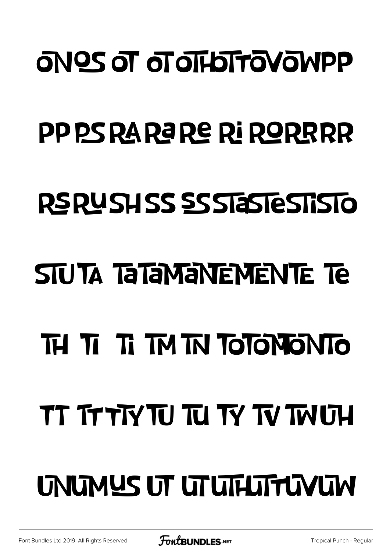### **ONOS OT OT OT LOTTO YOWPP**

### PP PS RA RA RE RI RORRRR

#### RSRUSHSS SSSTaSTESTISTO

### **STUTA TATAMANEMENTE TE**

### TH TI TI TM TN TOTONONTO

## TT TTTTY TU TU TY TV TWUH

## UNUMUS UT UTUTHUTTUVUM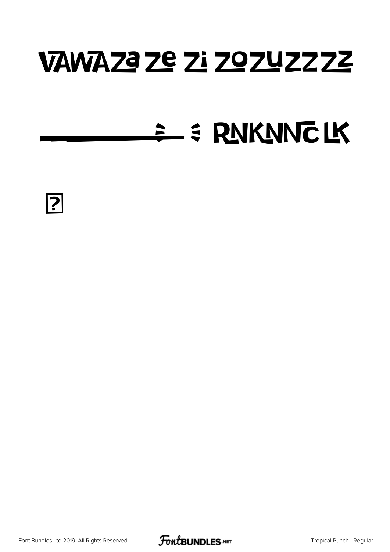#### VAWAZE ZE ZI ZOZUZZZZ

#### = = RNKNNCLK



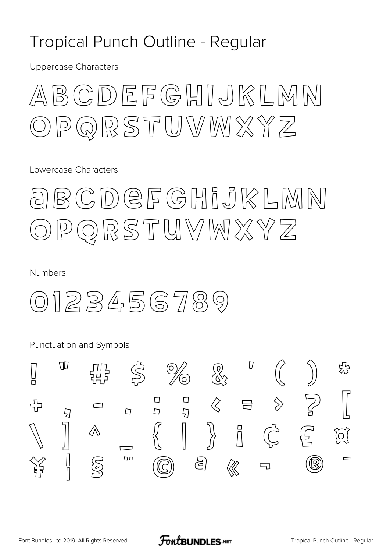#### Tropical Punch Outline - Regular

**Uppercase Characters** 



Lowercase Characters

#### BCDEFGHIJKLMN QRSTUVWXYZ  $\mathsf{P}% _{T}$

**Numbers** 

0123456789

Punctuation and Symbols

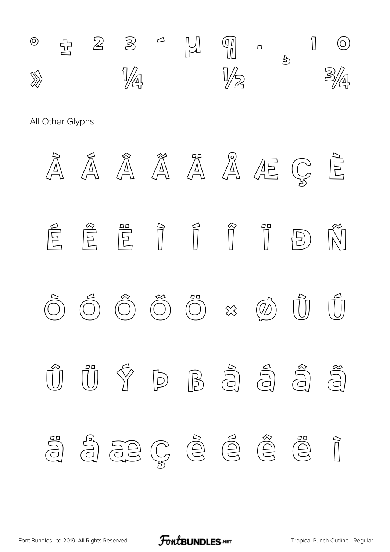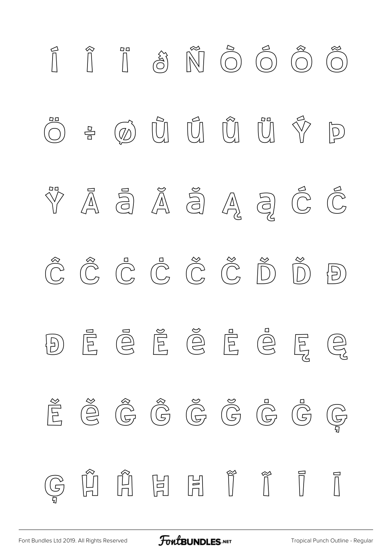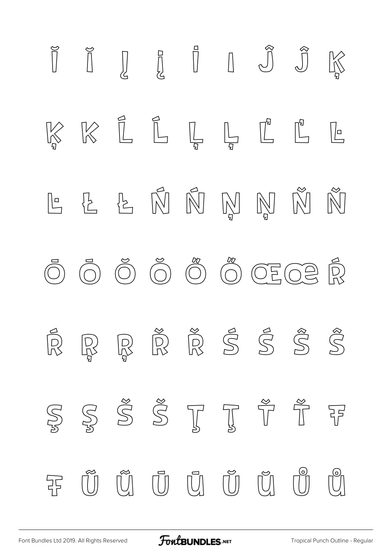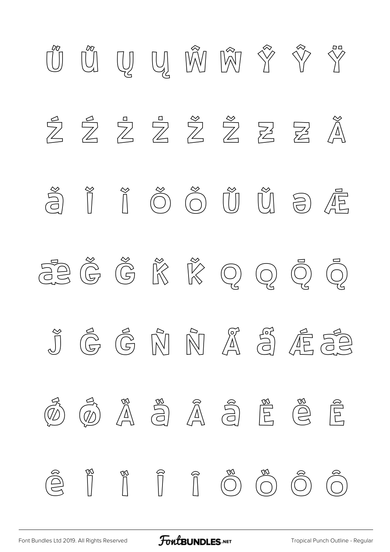

[Font Bundles Ltd 2019. All Rights Reserved](https://fontbundles.net/) **FoutBUNDLES.NET** [Tropical Punch Outline - Regular](https://fontbundles.net/)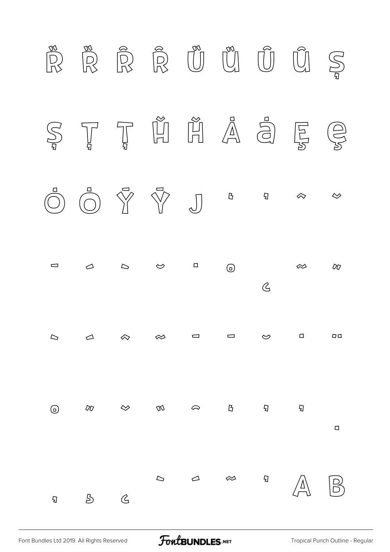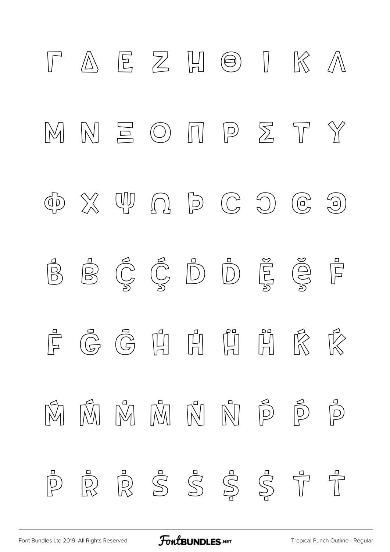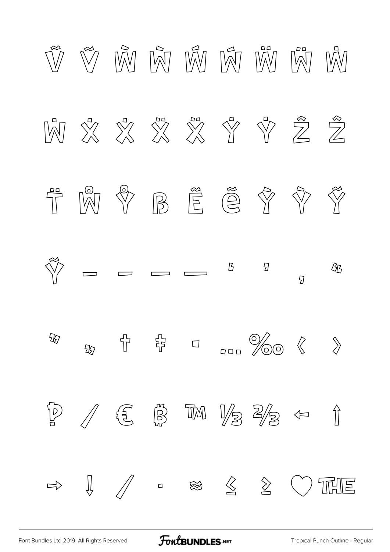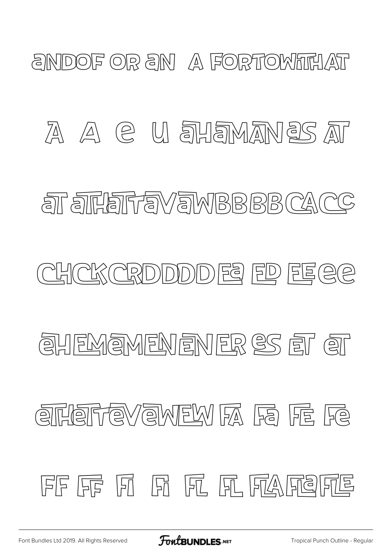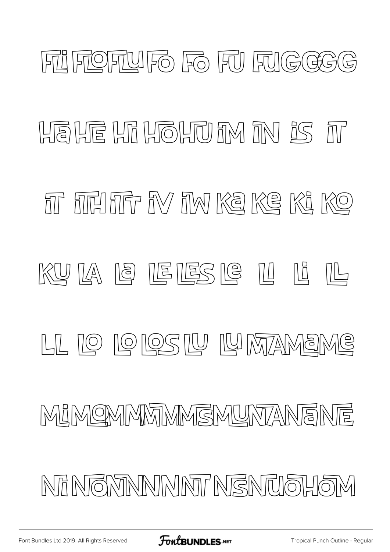# FIFOFUFO FO FU FUGGGG **HEIF HILOHUM IN IS IT** fit fire into the ke we ke ke KULA 18 LELES 18 ILI 14 LL 10 10 105 14 14 MAAMEME MIMOMMMMMSMUNTANENE NA NGMANNINNT NGNUQHOM

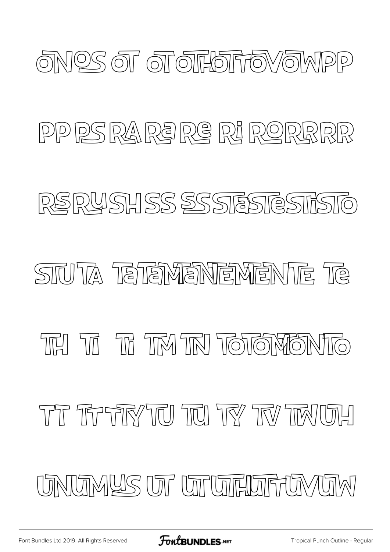

#### PP PS RA RE RE RE RORRRR

#### RSRYSHSS SSSTESTESTISTO

#### **SITUTA TETEMENTEMENTE TE**

#### THE THE THE THE THE THE THE THE THE THE

#### THE TREFFIRY TIO TIO TRY TIN TIMUTH

UNIUMYS UT UTUTEUTHUMUM